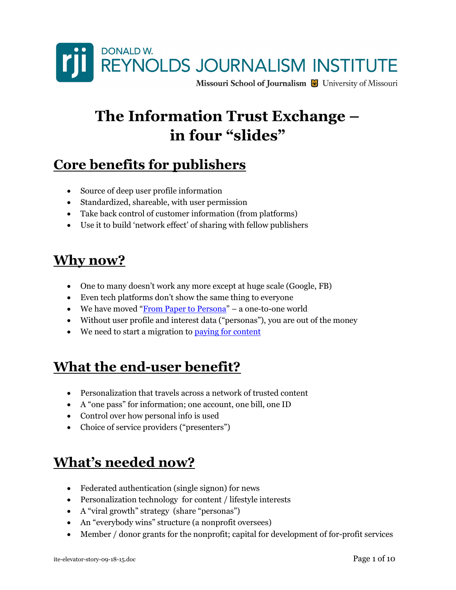

# The Information Trust Exchange – in four "slides"

# Core benefits for publishers

- Source of deep user profile information
- Standardized, shareable, with user permission
- Take back control of customer information (from platforms)
- Use it to build 'network effect' of sharing with fellow publishers

## Why now?

- One to many doesn't work any more except at huge scale (Google, FB)
- Even tech platforms don't show the same thing to everyone
- We have moved "From Paper to Persona" a one-to-one world
- Without user profile and interest data ("personas"), you are out of the money
- We need to start a migration to paying for content

# What the end-user benefit?

- Personalization that travels across a network of trusted content
- A "one pass" for information; one account, one bill, one ID
- Control over how personal info is used
- Choice of service providers ("presenters")

# What's needed now?

- Federated authentication (single signon) for news
- Personalization technology for content / lifestyle interests
- A "viral growth" strategy (share "personas")
- An "everybody wins" structure (a nonprofit oversees)
- Member / donor grants for the nonprofit; capital for development of for-profit services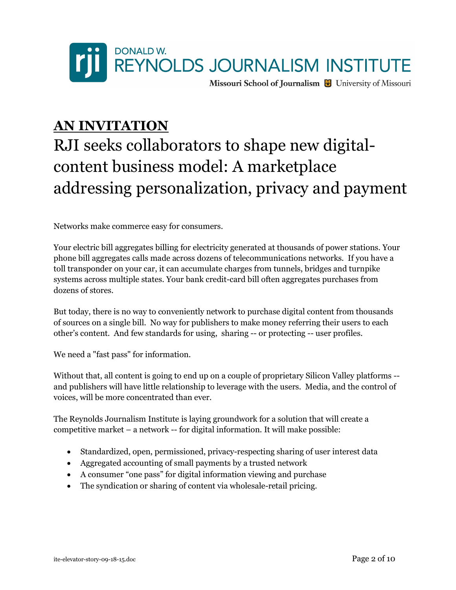

### AN INVITATION

# RJI seeks collaborators to shape new digitalcontent business model: A marketplace addressing personalization, privacy and payment

Networks make commerce easy for consumers.

Your electric bill aggregates billing for electricity generated at thousands of power stations. Your phone bill aggregates calls made across dozens of telecommunications networks. If you have a toll transponder on your car, it can accumulate charges from tunnels, bridges and turnpike systems across multiple states. Your bank credit-card bill often aggregates purchases from dozens of stores.

But today, there is no way to conveniently network to purchase digital content from thousands of sources on a single bill. No way for publishers to make money referring their users to each other's content. And few standards for using, sharing -- or protecting -- user profiles.

We need a "fast pass" for information.

Without that, all content is going to end up on a couple of proprietary Silicon Valley platforms - and publishers will have little relationship to leverage with the users. Media, and the control of voices, will be more concentrated than ever.

The Reynolds Journalism Institute is laying groundwork for a solution that will create a competitive market – a network -- for digital information. It will make possible:

- Standardized, open, permissioned, privacy-respecting sharing of user interest data
- Aggregated accounting of small payments by a trusted network
- A consumer "one pass" for digital information viewing and purchase
- The syndication or sharing of content via wholesale-retail pricing.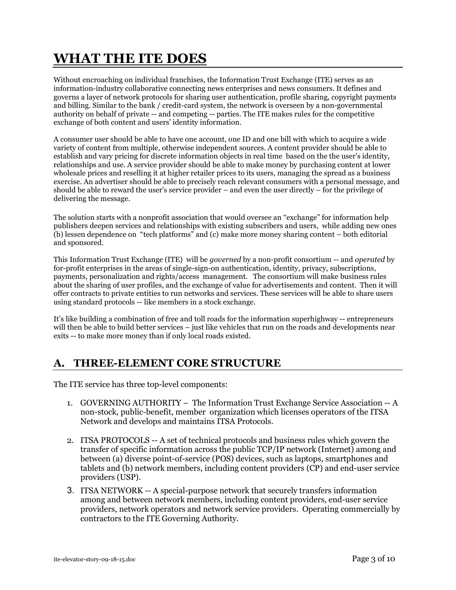# WHAT THE ITE DOES

Without encroaching on individual franchises, the Information Trust Exchange (ITE) serves as an information-industry collaborative connecting news enterprises and news consumers. It defines and governs a layer of network protocols for sharing user authentication, profile sharing, copyright payments and billing. Similar to the bank / credit-card system, the network is overseen by a non-governmental authority on behalf of private -- and competing -- parties. The ITE makes rules for the competitive exchange of both content and users' identity information.

A consumer user should be able to have one account, one ID and one bill with which to acquire a wide variety of content from multiple, otherwise independent sources. A content provider should be able to establish and vary pricing for discrete information objects in real time based on the the user's identity, relationships and use. A service provider should be able to make money by purchasing content at lower wholesale prices and reselling it at higher retailer prices to its users, managing the spread as a business exercise. An advertiser should be able to precisely reach relevant consumers with a personal message, and should be able to reward the user's service provider – and even the user directly – for the privilege of delivering the message.

The solution starts with a nonprofit association that would oversee an "exchange" for information help publishers deepen services and relationships with existing subscribers and users, while adding new ones (b) lessen dependence on "tech platforms" and (c) make more money sharing content – both editorial and sponsored.

This Information Trust Exchange (ITE) will be *governed* by a non-profit consortium -- and *operated* by for-profit enterprises in the areas of single-sign-on authentication, identity, privacy, subscriptions, payments, personalization and rights/access management. The consortium will make business rules about the sharing of user profiles, and the exchange of value for advertisements and content. Then it will offer contracts to private entities to run networks and services. These services will be able to share users using standard protocols -- like members in a stock exchange.

It's like building a combination of free and toll roads for the information superhighway -- entrepreneurs will then be able to build better services – just like vehicles that run on the roads and developments near exits -- to make more money than if only local roads existed.

### A. THREE-ELEMENT CORE STRUCTURE

The ITE service has three top-level components:

- 1. GOVERNING AUTHORITY The Information Trust Exchange Service Association -- A non-stock, public-benefit, member organization which licenses operators of the ITSA Network and develops and maintains ITSA Protocols.
- 2. ITSA PROTOCOLS -- A set of technical protocols and business rules which govern the transfer of specific information across the public TCP/IP network (Internet) among and between (a) diverse point-of-service (POS) devices, such as laptops, smartphones and tablets and (b) network members, including content providers (CP) and end-user service providers (USP).
- 3. ITSA NETWORK -- A special-purpose network that securely transfers information among and between network members, including content providers, end-user service providers, network operators and network service providers. Operating commercially by contractors to the ITE Governing Authority.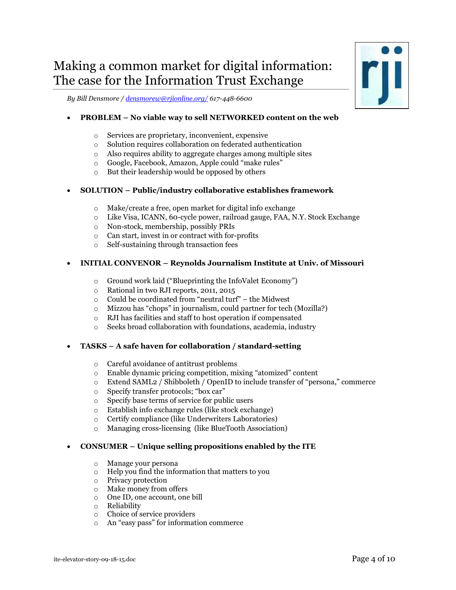### Making a common market for digital information: The case for the Information Trust Exchange

By Bill Densmore / densmorew@rjionline.org/ 617-448-6600

#### PROBLEM – No viable way to sell NETWORKED content on the web

- o Services are proprietary, inconvenient, expensive
- o Solution requires collaboration on federated authentication
- o Also requires ability to aggregate charges among multiple sites
- o Google, Facebook, Amazon, Apple could "make rules"
- o But their leadership would be opposed by others

#### SOLUTION – Public/industry collaborative establishes framework

- o Make/create a free, open market for digital info exchange
- o Like Visa, ICANN, 60-cycle power, railroad gauge, FAA, N.Y. Stock Exchange
- o Non-stock, membership, possibly PRIs
- o Can start, invest in or contract with for-profits
- o Self-sustaining through transaction fees

#### INITIAL CONVENOR – Reynolds Journalism Institute at Univ. of Missouri

- o Ground work laid ("Blueprinting the InfoValet Economy")
- o Rational in two RJI reports, 2011, 2015
- o Could be coordinated from "neutral turf" the Midwest
- o Mizzou has "chops" in journalism, could partner for tech (Mozilla?)
- o RJI has facilities and staff to host operation if compensated
- o Seeks broad collaboration with foundations, academia, industry

#### TASKS – A safe haven for collaboration / standard-setting

- o Careful avoidance of antitrust problems
- o Enable dynamic pricing competition, mixing "atomized" content
- o Extend SAML2 / Shibboleth / OpenID to include transfer of "persona," commerce
- o Specify transfer protocols; "box car"
- o Specify base terms of service for public users
- o Establish info exchange rules (like stock exchange)
- o Certify compliance (like Underwriters Laboratories)
- o Managing cross-licensing (like BlueTooth Association)

#### CONSUMER – Unique selling propositions enabled by the ITE

- o Manage your persona
- o Help you find the information that matters to you
- o Privacy protection
- o Make money from offers
- o One ID, one account, one bill
- o Reliability
- o Choice of service providers
- o An "easy pass" for information commerce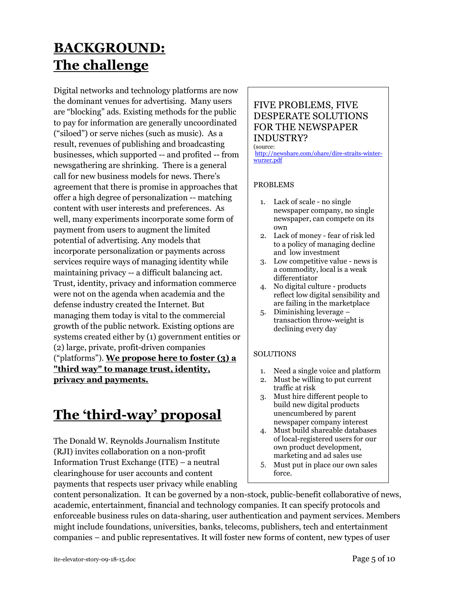# BACKGROUND: The challenge

Digital networks and technology platforms are now the dominant venues for advertising. Many users are "blocking" ads. Existing methods for the public to pay for information are generally uncoordinated ("siloed") or serve niches (such as music). As a result, revenues of publishing and broadcasting businesses, which supported -- and profited -- from newsgathering are shrinking. There is a general call for new business models for news. There's agreement that there is promise in approaches that offer a high degree of personalization -- matching content with user interests and preferences. As well, many experiments incorporate some form of payment from users to augment the limited potential of advertising. Any models that incorporate personalization or payments across services require ways of managing identity while maintaining privacy -- a difficult balancing act. Trust, identity, privacy and information commerce were not on the agenda when academia and the defense industry created the Internet. But managing them today is vital to the commercial growth of the public network. Existing options are systems created either by (1) government entities or (2) large, private, profit-driven companies ("platforms"). We propose here to foster (3) a "third way" to manage trust, identity, privacy and payments.

# The 'third-way' proposal

The Donald W. Reynolds Journalism Institute (RJI) invites collaboration on a non-profit Information Trust Exchange (ITE) – a neutral clearinghouse for user accounts and content payments that respects user privacy while enabling

### FIVE PROBLEMS, FIVE DESPERATE SOLUTIONS FOR THE NEWSPAPER INDUSTRY?

#### (source:

http://newshare.com/ohare/dire-straits-winterwurzer.pdf

#### PROBLEMS

- 1. Lack of scale no single newspaper company, no single newspaper, can compete on its own
- 2. Lack of money fear of risk led to a policy of managing decline and low investment
- 3. Low competitive value news is a commodity, local is a weak differentiator
- 4. No digital culture products reflect low digital sensibility and are failing in the marketplace
- 5. Diminishing leverage transaction throw-weight is declining every day

#### **SOLUTIONS**

- 1. Need a single voice and platform
- 2. Must be willing to put current traffic at risk
- 3. Must hire different people to build new digital products unencumbered by parent newspaper company interest
- 4. Must build shareable databases of local-registered users for our own product development, marketing and ad sales use
- 5. Must put in place our own sales force.

content personalization. It can be governed by a non-stock, public-benefit collaborative of news, academic, entertainment, financial and technology companies. It can specify protocols and enforceable business rules on data-sharing, user authentication and payment services. Members might include foundations, universities, banks, telecoms, publishers, tech and entertainment companies – and public representatives. It will foster new forms of content, new types of user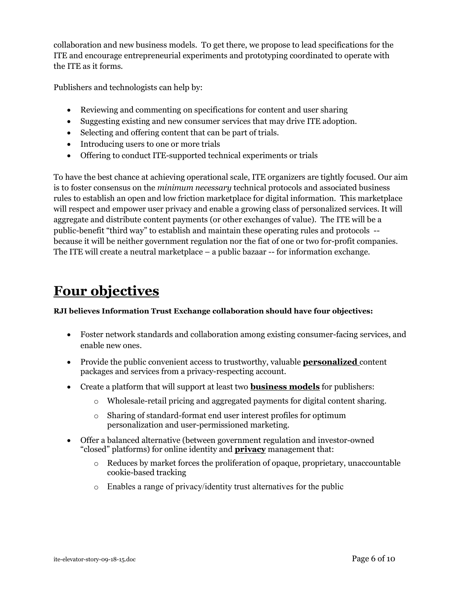collaboration and new business models. T0 get there, we propose to lead specifications for the ITE and encourage entrepreneurial experiments and prototyping coordinated to operate with the ITE as it forms.

Publishers and technologists can help by:

- Reviewing and commenting on specifications for content and user sharing
- Suggesting existing and new consumer services that may drive ITE adoption.
- Selecting and offering content that can be part of trials.
- Introducing users to one or more trials
- Offering to conduct ITE-supported technical experiments or trials

To have the best chance at achieving operational scale, ITE organizers are tightly focused. Our aim is to foster consensus on the minimum necessary technical protocols and associated business rules to establish an open and low friction marketplace for digital information. This marketplace will respect and empower user privacy and enable a growing class of personalized services. It will aggregate and distribute content payments (or other exchanges of value). The ITE will be a public-benefit "third way" to establish and maintain these operating rules and protocols - because it will be neither government regulation nor the fiat of one or two for-profit companies. The ITE will create a neutral marketplace – a public bazaar -- for information exchange.

# Four objectives

#### RJI believes Information Trust Exchange collaboration should have four objectives:

- Foster network standards and collaboration among existing consumer-facing services, and enable new ones.
- Provide the public convenient access to trustworthy, valuable **personalized** content packages and services from a privacy-respecting account.
- Create a platform that will support at least two **business models** for publishers:
	- o Wholesale-retail pricing and aggregated payments for digital content sharing.
	- o Sharing of standard-format end user interest profiles for optimum personalization and user-permissioned marketing.
- Offer a balanced alternative (between government regulation and investor-owned "closed" platforms) for online identity and **privacy** management that:
	- o Reduces by market forces the proliferation of opaque, proprietary, unaccountable cookie-based tracking
	- o Enables a range of privacy/identity trust alternatives for the public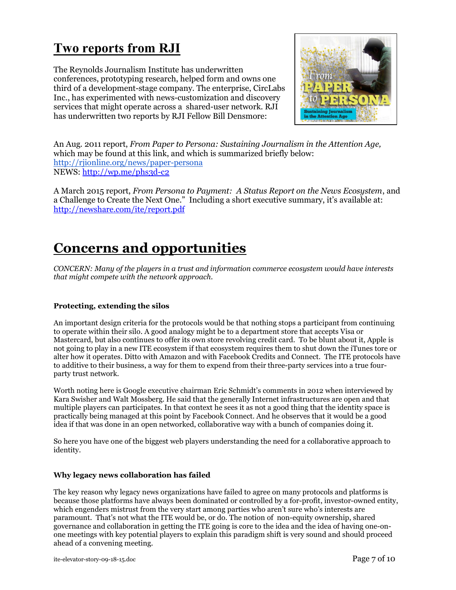## Two reports from RJI

The Reynolds Journalism Institute has underwritten conferences, prototyping research, helped form and owns one third of a development-stage company. The enterprise, CircLabs Inc., has experimented with news-customization and discovery services that might operate across a shared-user network. RJI has underwritten two reports by RJI Fellow Bill Densmore:



An Aug. 2011 report, From Paper to Persona: Sustaining Journalism in the Attention Age, which may be found at this link, and which is summarized briefly below: http://rjionline.org/news/paper-persona NEWS: http://wp.me/phs3d-c2

A March 2015 report, From Persona to Payment: A Status Report on the News Ecosystem, and a Challenge to Create the Next One." Including a short executive summary, it's available at: http://newshare.com/ite/report.pdf

## Concerns and opportunities

CONCERN: Many of the players in a trust and information commerce ecosystem would have interests that might compete with the network approach.

#### Protecting, extending the silos

An important design criteria for the protocols would be that nothing stops a participant from continuing to operate within their silo. A good analogy might be to a department store that accepts Visa or Mastercard, but also continues to offer its own store revolving credit card. To be blunt about it, Apple is not going to play in a new ITE ecosystem if that ecosystem requires them to shut down the iTunes tore or alter how it operates. Ditto with Amazon and with Facebook Credits and Connect. The ITE protocols have to additive to their business, a way for them to expend from their three-party services into a true fourparty trust network.

Worth noting here is Google executive chairman Eric Schmidt's comments in 2012 when interviewed by Kara Swisher and Walt Mossberg. He said that the generally Internet infrastructures are open and that multiple players can participates. In that context he sees it as not a good thing that the identity space is practically being managed at this point by Facebook Connect. And he observes that it would be a good idea if that was done in an open networked, collaborative way with a bunch of companies doing it.

So here you have one of the biggest web players understanding the need for a collaborative approach to identity.

#### Why legacy news collaboration has failed

The key reason why legacy news organizations have failed to agree on many protocols and platforms is because those platforms have always been dominated or controlled by a for-profit, investor-owned entity, which engenders mistrust from the very start among parties who aren't sure who's interests are paramount. That's not what the ITE would be, or do. The notion of non-equity ownership, shared governance and collaboration in getting the ITE going is core to the idea and the idea of having one-onone meetings with key potential players to explain this paradigm shift is very sound and should proceed ahead of a convening meeting.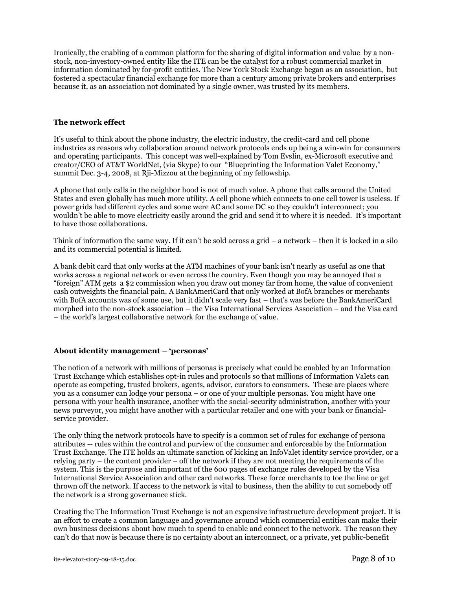Ironically, the enabling of a common platform for the sharing of digital information and value by a nonstock, non-investory-owned entity like the ITE can be the catalyst for a robust commercial market in information dominated by for-profit entities. The New York Stock Exchange began as an association, but fostered a spectacular financial exchange for more than a century among private brokers and enterprises because it, as an association not dominated by a single owner, was trusted by its members.

#### The network effect

It's useful to think about the phone industry, the electric industry, the credit-card and cell phone industries as reasons why collaboration around network protocols ends up being a win-win for consumers and operating participants. This concept was well-explained by Tom Evslin, ex-Microsoft executive and creator/CEO of AT&T WorldNet, (via Skype) to our "Blueprinting the Information Valet Economy," summit Dec. 3-4, 2008, at Rji-Mizzou at the beginning of my fellowship.

A phone that only calls in the neighbor hood is not of much value. A phone that calls around the United States and even globally has much more utility. A cell phone which connects to one cell tower is useless. If power grids had different cycles and some were AC and some DC so they couldn't interconnect; you wouldn't be able to move electricity easily around the grid and send it to where it is needed. It's important to have those collaborations.

Think of information the same way. If it can't be sold across a grid – a network – then it is locked in a silo and its commercial potential is limited.

A bank debit card that only works at the ATM machines of your bank isn't nearly as useful as one that works across a regional network or even across the country. Even though you may be annoyed that a "foreign" ATM gets a \$2 commission when you draw out money far from home, the value of convenient cash outweights the financial pain. A BankAmeriCard that only worked at BofA branches or merchants with BofA accounts was of some use, but it didn't scale very fast – that's was before the BankAmeriCard morphed into the non-stock association – the Visa International Services Association – and the Visa card – the world's largest collaborative network for the exchange of value.

#### About identity management – 'personas'

The notion of a network with millions of personas is precisely what could be enabled by an Information Trust Exchange which establishes opt-in rules and protocols so that millions of Information Valets can operate as competing, trusted brokers, agents, advisor, curators to consumers. These are places where you as a consumer can lodge your persona – or one of your multiple personas. You might have one persona with your health insurance, another with the social-security administration, another with your news purveyor, you might have another with a particular retailer and one with your bank or financialservice provider.

The only thing the network protocols have to specify is a common set of rules for exchange of persona attributes -- rules within the control and purview of the consumer and enforceable by the Information Trust Exchange. The ITE holds an ultimate sanction of kicking an InfoValet identity service provider, or a relying party – the content provider – off the network if they are not meeting the requirements of the system. This is the purpose and important of the 600 pages of exchange rules developed by the Visa International Service Association and other card networks. These force merchants to toe the line or get thrown off the network. If access to the network is vital to business, then the ability to cut somebody off the network is a strong governance stick.

Creating the The Information Trust Exchange is not an expensive infrastructure development project. It is an effort to create a common language and governance around which commercial entities can make their own business decisions about how much to spend to enable and connect to the network. The reason they can't do that now is because there is no certainty about an interconnect, or a private, yet public-benefit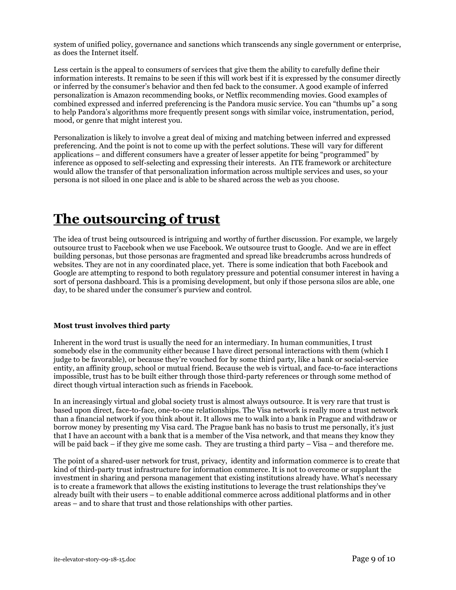system of unified policy, governance and sanctions which transcends any single government or enterprise, as does the Internet itself.

Less certain is the appeal to consumers of services that give them the ability to carefully define their information interests. It remains to be seen if this will work best if it is expressed by the consumer directly or inferred by the consumer's behavior and then fed back to the consumer. A good example of inferred personalization is Amazon recommending books, or Netflix recommending movies. Good examples of combined expressed and inferred preferencing is the Pandora music service. You can "thumbs up" a song to help Pandora's algorithms more frequently present songs with similar voice, instrumentation, period, mood, or genre that might interest you.

Personalization is likely to involve a great deal of mixing and matching between inferred and expressed preferencing. And the point is not to come up with the perfect solutions. These will vary for different applications – and different consumers have a greater of lesser appetite for being "programmed" by inference as opposed to self-selecting and expressing their interests. An ITE framework or architecture would allow the transfer of that personalization information across multiple services and uses, so your persona is not siloed in one place and is able to be shared across the web as you choose.

## The outsourcing of trust

The idea of trust being outsourced is intriguing and worthy of further discussion. For example, we largely outsource trust to Facebook when we use Facebook. We outsource trust to Google. And we are in effect building personas, but those personas are fragmented and spread like breadcrumbs across hundreds of websites. They are not in any coordinated place, yet. There is some indication that both Facebook and Google are attempting to respond to both regulatory pressure and potential consumer interest in having a sort of persona dashboard. This is a promising development, but only if those persona silos are able, one day, to be shared under the consumer's purview and control.

#### Most trust involves third party

Inherent in the word trust is usually the need for an intermediary. In human communities, I trust somebody else in the community either because I have direct personal interactions with them (which I judge to be favorable), or because they're vouched for by some third party, like a bank or social-service entity, an affinity group, school or mutual friend. Because the web is virtual, and face-to-face interactions impossible, trust has to be built either through those third-party references or through some method of direct though virtual interaction such as friends in Facebook.

In an increasingly virtual and global society trust is almost always outsource. It is very rare that trust is based upon direct, face-to-face, one-to-one relationships. The Visa network is really more a trust network than a financial network if you think about it. It allows me to walk into a bank in Prague and withdraw or borrow money by presenting my Visa card. The Prague bank has no basis to trust me personally, it's just that I have an account with a bank that is a member of the Visa network, and that means they know they will be paid back – if they give me some cash. They are trusting a third party – Visa – and therefore me.

The point of a shared-user network for trust, privacy, identity and information commerce is to create that kind of third-party trust infrastructure for information commerce. It is not to overcome or supplant the investment in sharing and persona management that existing institutions already have. What's necessary is to create a framework that allows the existing institutions to leverage the trust relationships they've already built with their users – to enable additional commerce across additional platforms and in other areas – and to share that trust and those relationships with other parties.